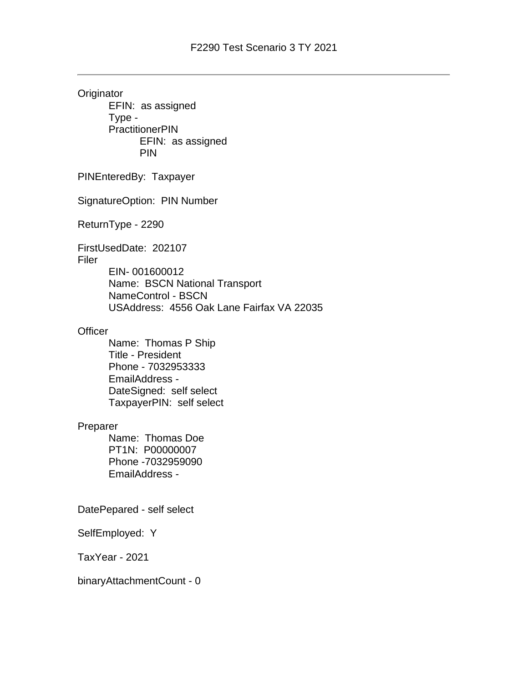**Originator** EFIN: as assigned Type - **PractitionerPIN** EFIN: as assigned PIN PINEnteredBy: Taxpayer SignatureOption: PIN Number ReturnType - 2290 FirstUsedDate: 202107 Filer EIN- 001600012 Name: BSCN National Transport NameControl - BSCN USAddress: 4556 Oak Lane Fairfax VA 22035 **Officer** Name: Thomas P Ship Title - President Phone - 7032953333 EmailAddress - DateSigned: self select TaxpayerPIN: self select Preparer Name: Thomas Doe PT1N: P00000007 Phone -7032959090 EmailAddress - DatePepared - self select SelfEmployed: Y TaxYear - 2021

binaryAttachmentCount - 0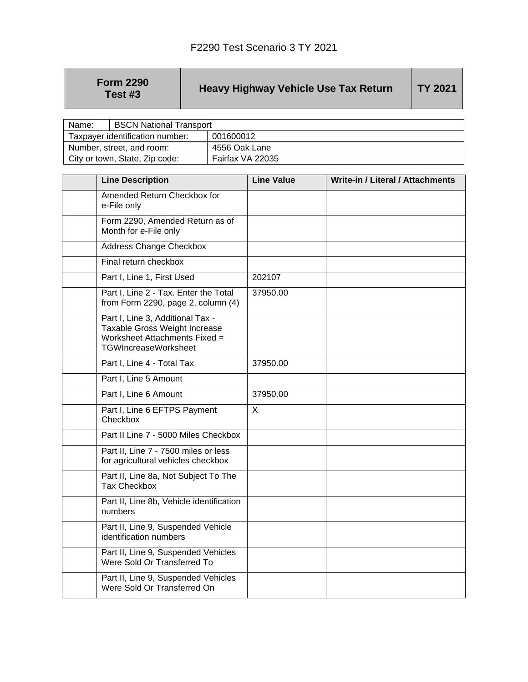| <b>Form 2290</b> |  |
|------------------|--|
| Test #3          |  |

## **Heavy Highway Vehicle Use Tax Return** | TY 2021

| Name:                     | <b>BSCN National Transport</b>  |                  |
|---------------------------|---------------------------------|------------------|
|                           | Taxpayer identification number: | 001600012        |
| Number, street, and room: |                                 | 4556 Oak Lane    |
|                           | City or town, State, Zip code:  | Fairfax VA 22035 |

| <b>Line Description</b>                                                                                                           | <b>Line Value</b> | <b>Write-in / Literal / Attachments</b> |
|-----------------------------------------------------------------------------------------------------------------------------------|-------------------|-----------------------------------------|
| Amended Return Checkbox for<br>e-File only                                                                                        |                   |                                         |
| Form 2290, Amended Return as of<br>Month for e-File only                                                                          |                   |                                         |
| <b>Address Change Checkbox</b>                                                                                                    |                   |                                         |
| Final return checkbox                                                                                                             |                   |                                         |
| Part I, Line 1, First Used                                                                                                        | 202107            |                                         |
| Part I, Line 2 - Tax. Enter the Total<br>from Form 2290, page 2, column $(4)$                                                     | 37950.00          |                                         |
| Part I, Line 3, Additional Tax -<br>Taxable Gross Weight Increase<br>Worksheet Attachments Fixed =<br><b>TGWIncreaseWorksheet</b> |                   |                                         |
| Part I, Line 4 - Total Tax                                                                                                        | 37950.00          |                                         |
| Part I, Line 5 Amount                                                                                                             |                   |                                         |
| Part I, Line 6 Amount                                                                                                             | 37950.00          |                                         |
| Part I, Line 6 EFTPS Payment<br>Checkbox                                                                                          | $\sf X$           |                                         |
| Part II Line 7 - 5000 Miles Checkbox                                                                                              |                   |                                         |
| Part II, Line 7 - 7500 miles or less<br>for agricultural vehicles checkbox                                                        |                   |                                         |
| Part II, Line 8a, Not Subject To The<br><b>Tax Checkbox</b>                                                                       |                   |                                         |
| Part II, Line 8b, Vehicle identification<br>numbers                                                                               |                   |                                         |
| Part II, Line 9, Suspended Vehicle<br>identification numbers                                                                      |                   |                                         |
| Part II, Line 9, Suspended Vehicles<br>Were Sold Or Transferred To                                                                |                   |                                         |
| Part II, Line 9, Suspended Vehicles<br>Were Sold Or Transferred On                                                                |                   |                                         |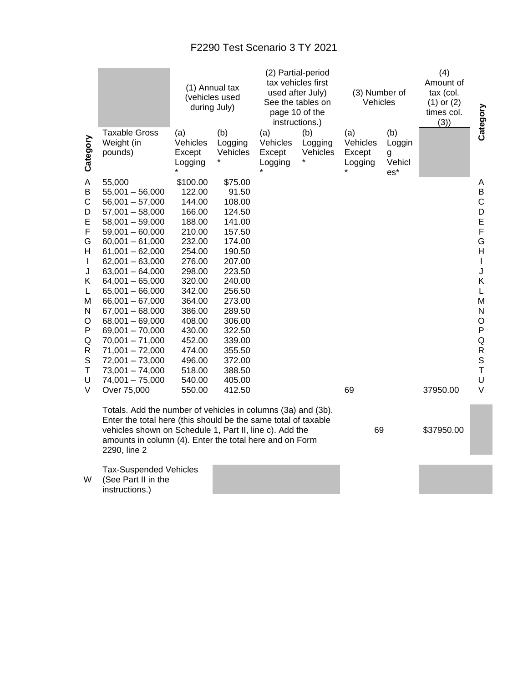## F2290 Test Scenario 3 TY 2021

|                                                                                                                                       |                                                                                                                                                                                                                                                                                                                                                                                                                                                           |                                                                                                                                                                                                                            | (1) Annual tax<br>(vehicles used<br>during July)                                                                                                                                                                         |                                      | (2) Partial-period<br>tax vehicles first<br>used after July)<br>See the tables on<br>page 10 of the<br>instructions.) | (3) Number of<br>Vehicles            |                                       | (4)<br>Amount of<br>tax (col.<br>$(1)$ or $(2)$<br>times col.<br>(3) | Category                                                                                                                                                                 |
|---------------------------------------------------------------------------------------------------------------------------------------|-----------------------------------------------------------------------------------------------------------------------------------------------------------------------------------------------------------------------------------------------------------------------------------------------------------------------------------------------------------------------------------------------------------------------------------------------------------|----------------------------------------------------------------------------------------------------------------------------------------------------------------------------------------------------------------------------|--------------------------------------------------------------------------------------------------------------------------------------------------------------------------------------------------------------------------|--------------------------------------|-----------------------------------------------------------------------------------------------------------------------|--------------------------------------|---------------------------------------|----------------------------------------------------------------------|--------------------------------------------------------------------------------------------------------------------------------------------------------------------------|
| Category                                                                                                                              | <b>Taxable Gross</b><br>Weight (in<br>pounds)                                                                                                                                                                                                                                                                                                                                                                                                             | (a)<br>Vehicles<br>Except<br>Logging                                                                                                                                                                                       | (b)<br>Logging<br>Vehicles                                                                                                                                                                                               | (a)<br>Vehicles<br>Except<br>Logging | (b)<br>Logging<br>Vehicles                                                                                            | (a)<br>Vehicles<br>Except<br>Logging | (b)<br>Loggin<br>g<br>Vehicl<br>$es*$ |                                                                      |                                                                                                                                                                          |
| A<br>$\sf B$<br>$\mathsf C$<br>D<br>E<br>F<br>G<br>Н<br>$\mathbf{I}$<br>J<br>Κ<br>L<br>M<br>N<br>O<br>P<br>Q<br>R<br>S<br>Τ<br>U<br>V | 55,000<br>$55,001 - 56,000$<br>$56,001 - 57,000$<br>$57,001 - 58,000$<br>$58,001 - 59,000$<br>$59,001 - 60,000$<br>$60,001 - 61,000$<br>$61,001 - 62,000$<br>$62,001 - 63,000$<br>$63,001 - 64,000$<br>$64,001 - 65,000$<br>$65,001 - 66,000$<br>$66,001 - 67,000$<br>$67,001 - 68,000$<br>$68,001 - 69,000$<br>$69,001 - 70,000$<br>$70,001 - 71,000$<br>$71,001 - 72,000$<br>$72,001 - 73,000$<br>$73,001 - 74,000$<br>$74,001 - 75,000$<br>Over 75,000 | \$100.00<br>122.00<br>144.00<br>166.00<br>188.00<br>210.00<br>232.00<br>254.00<br>276.00<br>298.00<br>320.00<br>342.00<br>364.00<br>386.00<br>408.00<br>430.00<br>452.00<br>474.00<br>496.00<br>518.00<br>540.00<br>550.00 | \$75.00<br>91.50<br>108.00<br>124.50<br>141.00<br>157.50<br>174.00<br>190.50<br>207.00<br>223.50<br>240.00<br>256.50<br>273.00<br>289.50<br>306.00<br>322.50<br>339.00<br>355.50<br>372.00<br>388.50<br>405.00<br>412.50 |                                      |                                                                                                                       | 69                                   |                                       | 37950.00                                                             | A<br>B<br>$\mathsf C$<br>D<br>E<br>F<br>G<br>H<br>$\mathbf{I}$<br>J<br>Κ<br>L<br>M<br>N<br>$\mathsf O$<br>P<br>${\sf Q}$<br>${\sf R}$<br>$\mathbb S$<br>T<br>U<br>$\vee$ |
|                                                                                                                                       | Totals. Add the number of vehicles in columns (3a) and (3b).<br>Enter the total here (this should be the same total of taxable<br>vehicles shown on Schedule 1, Part II, line c). Add the<br>amounts in column (4). Enter the total here and on Form<br>2290, line 2                                                                                                                                                                                      |                                                                                                                                                                                                                            |                                                                                                                                                                                                                          |                                      |                                                                                                                       | 69                                   |                                       | \$37950.00                                                           |                                                                                                                                                                          |
| W                                                                                                                                     | <b>Tax-Suspended Vehicles</b><br>(See Part II in the                                                                                                                                                                                                                                                                                                                                                                                                      |                                                                                                                                                                                                                            |                                                                                                                                                                                                                          |                                      |                                                                                                                       |                                      |                                       |                                                                      |                                                                                                                                                                          |

instructions.)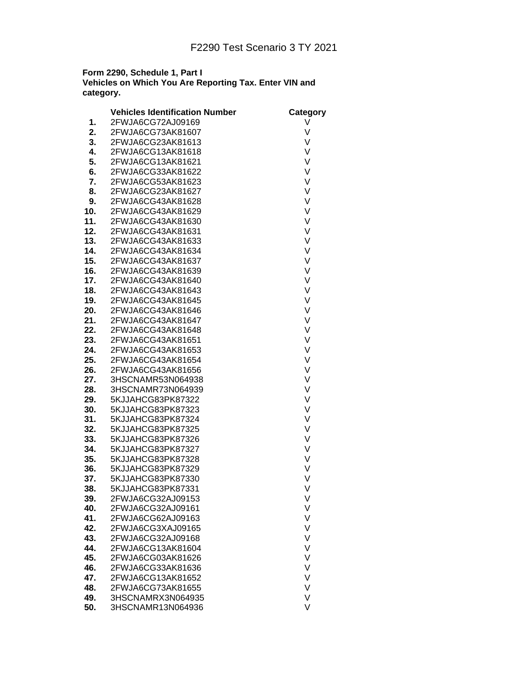## **Form 2290, Schedule 1, Part I Vehicles on Which You Are Reporting Tax. Enter VIN and category.**

|            | <b>Vehicles Identification Number</b> | Category |
|------------|---------------------------------------|----------|
| 1.         | 2FWJA6CG72AJ09169                     | V        |
| 2.         | 2FWJA6CG73AK81607                     | V        |
| 3.         | 2FWJA6CG23AK81613                     | V        |
| 4.         | 2FWJA6CG13AK81618                     | V        |
| 5.         | 2FWJA6CG13AK81621                     | V        |
| 6.         | 2FWJA6CG33AK81622                     | V        |
| 7.         | 2FWJA6CG53AK81623                     | V        |
| 8.         | 2FWJA6CG23AK81627                     | V        |
| 9.         | 2FWJA6CG43AK81628                     | V        |
| 10.        | 2FWJA6CG43AK81629                     | V        |
| 11.        | 2FWJA6CG43AK81630                     | V        |
| 12.        | 2FWJA6CG43AK81631                     | V        |
| 13.        | 2FWJA6CG43AK81633                     | V        |
| 14.        | 2FWJA6CG43AK81634                     | V        |
| 15.        | 2FWJA6CG43AK81637                     | V        |
| 16.        | 2FWJA6CG43AK81639                     | V        |
| 17.        | 2FWJA6CG43AK81640                     | V        |
| 18.        | 2FWJA6CG43AK81643                     | V        |
| 19.        | 2FWJA6CG43AK81645                     | V        |
| 20.        | 2FWJA6CG43AK81646                     | V        |
| 21.        | 2FWJA6CG43AK81647                     | V        |
| 22.        | 2FWJA6CG43AK81648                     | V        |
| 23.        | 2FWJA6CG43AK81651                     | V        |
| 24.        | 2FWJA6CG43AK81653                     | V        |
| 25.        | 2FWJA6CG43AK81654                     | V        |
| 26.        | 2FWJA6CG43AK81656                     | V        |
| 27.        | 3HSCNAMR53N064938                     | V        |
| 28.        | 3HSCNAMR73N064939                     | V        |
| 29.        | 5KJJAHCG83PK87322                     | V        |
| 30.        | 5KJJAHCG83PK87323                     | V        |
| 31.        | 5KJJAHCG83PK87324                     | V        |
| 32.        | 5KJJAHCG83PK87325                     | V        |
| 33.        | 5KJJAHCG83PK87326                     | V        |
| 34.        | 5KJJAHCG83PK87327                     | V        |
|            |                                       |          |
| 35.<br>36. | 5KJJAHCG83PK87328                     | V<br>V   |
|            | 5KJJAHCG83PK87329                     | V        |
| 37.        | 5KJJAHCG83PK87330                     |          |
| 38.        | 5KJJAHCG83PK87331                     | ٧        |
| 39.        | 2FWJA6CG32AJ09153                     | V        |
| 40.        | 2FWJA6CG32AJ09161                     | ٧        |
| 41.        | 2FWJA6CG62AJ09163                     | V        |
| 42.        | 2FWJA6CG3XAJ09165                     | V        |
| 43.        | 2FWJA6CG32AJ09168                     | V        |
| 44.        | 2FWJA6CG13AK81604                     | V        |
| 45.        | 2FWJA6CG03AK81626                     | V        |
| 46.        | 2FWJA6CG33AK81636                     | V        |
| 47.        | 2FWJA6CG13AK81652                     | V        |
| 48.        | 2FWJA6CG73AK81655                     | V        |
| 49.        | 3HSCNAMRX3N064935                     | V        |
| 50.        | 3HSCNAMR13N064936                     | V        |